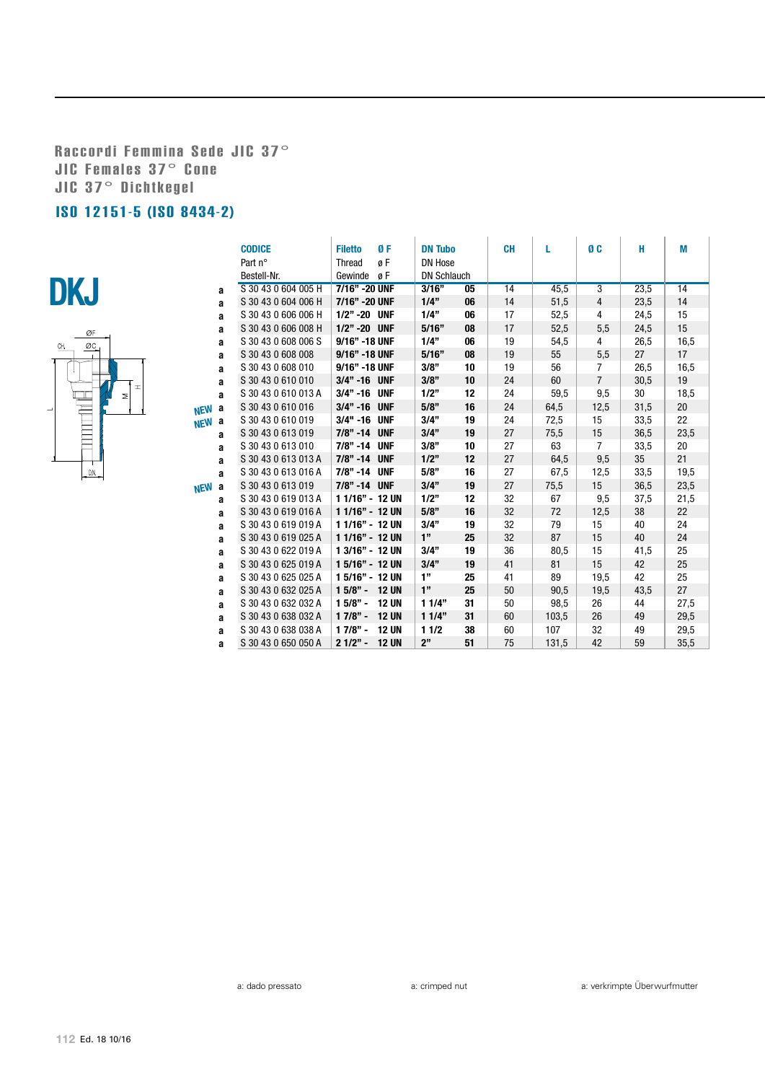Raccordi Femmina Sede JIC 37° JIC Females 37° Cone JIC 37° Dichtkegel

## ISO 12151-5 (ISO 8434-2)





|                 | <b>CODICE</b>       | ØF<br><b>Filetto</b>      | <b>DN Tubo</b>     |    | <b>CH</b> | L     | ØC             | H    | M    |
|-----------------|---------------------|---------------------------|--------------------|----|-----------|-------|----------------|------|------|
|                 | Part n°             | øF<br><b>Thread</b>       | <b>DN Hose</b>     |    |           |       |                |      |      |
|                 | Bestell-Nr.         | Gewinde<br>øΕ             | <b>DN Schlauch</b> |    |           |       |                |      |      |
| a               | S 30 43 0 604 005 H | 7/16" - 20 UNF            | 3/16"              | 05 | 14        | 45,5  | $\overline{3}$ | 23,5 | 14   |
| a               | S 30 43 0 604 006 H | 7/16" - 20 UNF            | 1/4"               | 06 | 14        | 51,5  | 4              | 23,5 | 14   |
| a               | S 30 43 0 606 006 H | 1/2" -20 UNF              | 1/4"               | 06 | 17        | 52,5  | 4              | 24,5 | 15   |
| a               | S 30 43 0 606 008 H | 1/2" -20 UNF              | 5/16"              | 08 | 17        | 52,5  | 5,5            | 24,5 | 15   |
| a               | S 30 43 0 608 006 S | 9/16" -18 UNF             | 1/4"               | 06 | 19        | 54,5  | 4              | 26,5 | 16,5 |
| a               | S 30 43 0 608 008   | 9/16" -18 UNF             | 5/16"              | 08 | 19        | 55    | 5,5            | 27   | 17   |
| a               | S 30 43 0 608 010   | 9/16" -18 UNF             | 3/8"               | 10 | 19        | 56    | $\overline{7}$ | 26,5 | 16,5 |
| a               | S 30 43 0 610 010   | 3/4" -16 UNF              | 3/8"               | 10 | 24        | 60    | $\overline{7}$ | 30,5 | 19   |
| a               | S 30 43 0 610 013 A | 3/4" -16 UNF              | 1/2"               | 12 | 24        | 59,5  | 9,5            | 30   | 18,5 |
| a<br><b>NEW</b> | S 30 43 0 610 016   | 3/4" -16 UNF              | 5/8"               | 16 | 24        | 64,5  | 12,5           | 31,5 | 20   |
| NEW a           | S 30 43 0 610 019   | 3/4" -16 UNF              | 3/4"               | 19 | 24        | 72,5  | 15             | 33,5 | 22   |
| a               | S 30 43 0 613 019   | 7/8" -14 UNF              | 3/4"               | 19 | 27        | 75,5  | 15             | 36,5 | 23,5 |
| a               | S 30 43 0 613 010   | 7/8" -14 UNF              | 3/8"               | 10 | 27        | 63    | $\overline{7}$ | 33,5 | 20   |
| a               | S 30 43 0 613 013 A | 7/8" -14 UNF              | 1/2"               | 12 | 27        | 64,5  | 9,5            | 35   | 21   |
| a               | S 30 43 0 613 016 A | 7/8" -14 UNF              | 5/8"               | 16 | 27        | 67,5  | 12,5           | 33,5 | 19,5 |
| <b>NEW</b><br>a | S 30 43 0 613 019   | 7/8" -14 UNF              | 3/4"               | 19 | 27        | 75,5  | 15             | 36,5 | 23,5 |
| a               | S 30 43 0 619 013 A | 1 1/16" - 12 UN           | 1/2"               | 12 | 32        | 67    | 9,5            | 37,5 | 21,5 |
| a               | S 30 43 0 619 016 A | 1 1/16" - 12 UN           | 5/8"               | 16 | 32        | 72    | 12,5           | 38   | 22   |
| a               | S 30 43 0 619 019 A | 1 1/16" - 12 UN           | 3/4"               | 19 | 32        | 79    | 15             | 40   | 24   |
| a               | S 30 43 0 619 025 A | 1 1/16" - 12 UN           | 1"                 | 25 | 32        | 87    | 15             | 40   | 24   |
| a               | S 30 43 0 622 019 A | 1 3/16" - 12 UN           | 3/4"               | 19 | 36        | 80,5  | 15             | 41,5 | 25   |
| a               | S 30 43 0 625 019 A | 1 5/16" - 12 UN           | 3/4"               | 19 | 41        | 81    | 15             | 42   | 25   |
| a               | S 30 43 0 625 025 A | 1 5/16" - 12 UN           | 1"                 | 25 | 41        | 89    | 19,5           | 42   | 25   |
| a               | S 30 43 0 632 025 A | $15/8" -$<br><b>12 UN</b> | 1"                 | 25 | 50        | 90,5  | 19,5           | 43,5 | 27   |
| a               | S 30 43 0 632 032 A | $15/8" -$<br><b>12 UN</b> | 11/4"              | 31 | 50        | 98,5  | 26             | 44   | 27,5 |
| a               | S 30 43 0 638 032 A | $17/8" -$<br><b>12 UN</b> | 11/4"              | 31 | 60        | 103,5 | 26             | 49   | 29,5 |
| a               | S 30 43 0 638 038 A | $17/8" -$<br><b>12 UN</b> | 11/2               | 38 | 60        | 107   | 32             | 49   | 29,5 |
| a               | S 30 43 0 650 050 A | $21/2" -$<br><b>12 UN</b> | 2"                 | 51 | 75        | 131,5 | 42             | 59   | 35,5 |